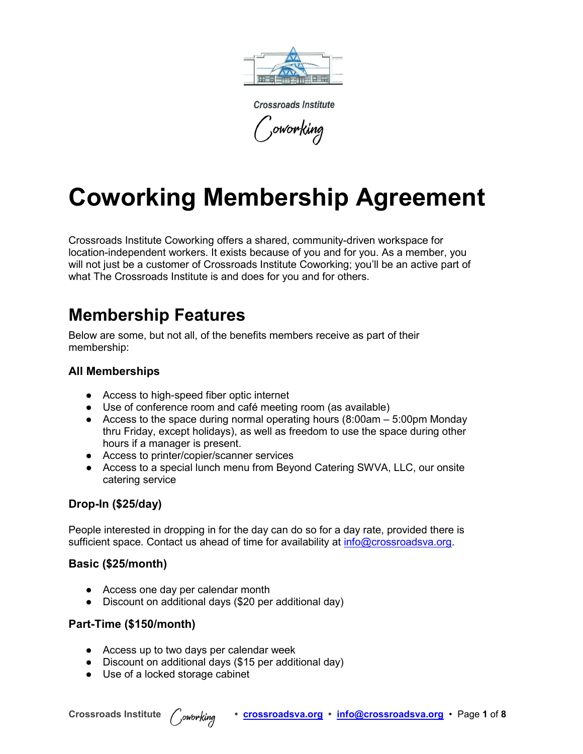

**Crossroads Institute** oworking,

# **Coworking Membership Agreement**

Crossroads Institute Coworking offers a shared, community-driven workspace for location-independent workers. It exists because of you and for you. As a member, you will not just be a customer of Crossroads Institute Coworking; you'll be an active part of what The Crossroads Institute is and does for you and for others.

### **Membership Features**

Below are some, but not all, of the benefits members receive as part of their membership:

#### **All Memberships**

- Access to high-speed fiber optic internet
- Use of conference room and café meeting room (as available)
- Access to the space during normal operating hours  $(8:00)$ am 5:00pm Monday thru Friday, except holidays), as well as freedom to use the space during other hours if a manager is present.
- Access to printer/copier/scanner services
- Access to a special lunch menu from Beyond Catering SWVA, LLC, our onsite catering service

#### **Drop-In (\$25/day)**

People interested in dropping in for the day can do so for a day rate, provided there is sufficient space. Contact us ahead of time for availability at [info@crossroadsva.org.](mailto:info@crossroadsva.org)

#### **Basic (\$25/month)**

- Access one day per calendar month
- Discount on additional days (\$20 per additional day)

#### **Part-Time (\$150/month)**

- Access up to two days per calendar week
- Discount on additional days (\$15 per additional day)
- Use of a locked storage cabinet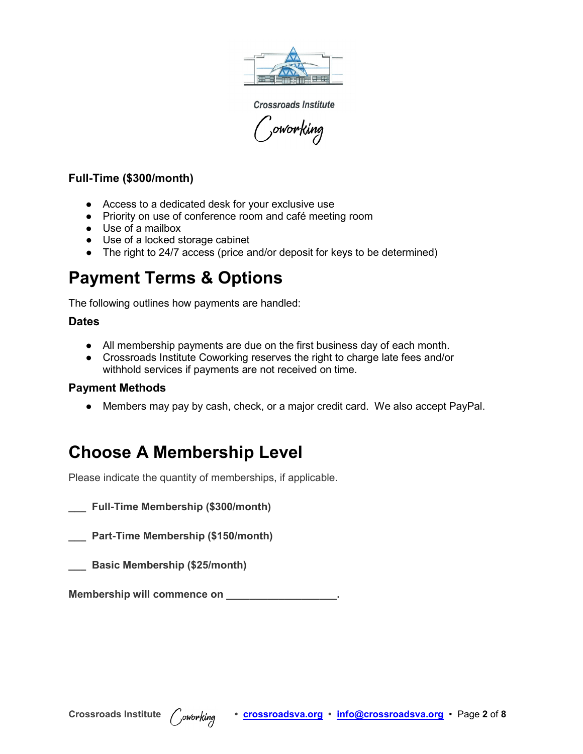

**Crossroads Institute** ,<br><sub>,</sub>oworking

#### **Full-Time (\$300/month)**

- Access to a dedicated desk for your exclusive use
- Priority on use of conference room and café meeting room
- Use of a mailbox
- Use of a locked storage cabinet
- The right to 24/7 access (price and/or deposit for keys to be determined)

## **Payment Terms & Options**

The following outlines how payments are handled:

#### **Dates**

- All membership payments are due on the first business day of each month.
- Crossroads Institute Coworking reserves the right to charge late fees and/or withhold services if payments are not received on time.

#### **Payment Methods**

● Members may pay by cash, check, or a major credit card. We also accept PayPal.

## **Choose A Membership Level**

Please indicate the quantity of memberships, if applicable.

**\_\_\_ Full-Time Membership (\$300/month)**

**\_\_\_ Part-Time Membership (\$150/month)**

**\_\_\_ Basic Membership (\$25/month)**

**Membership will commence on \_\_\_\_\_\_\_\_\_\_\_\_\_\_\_\_\_\_\_.**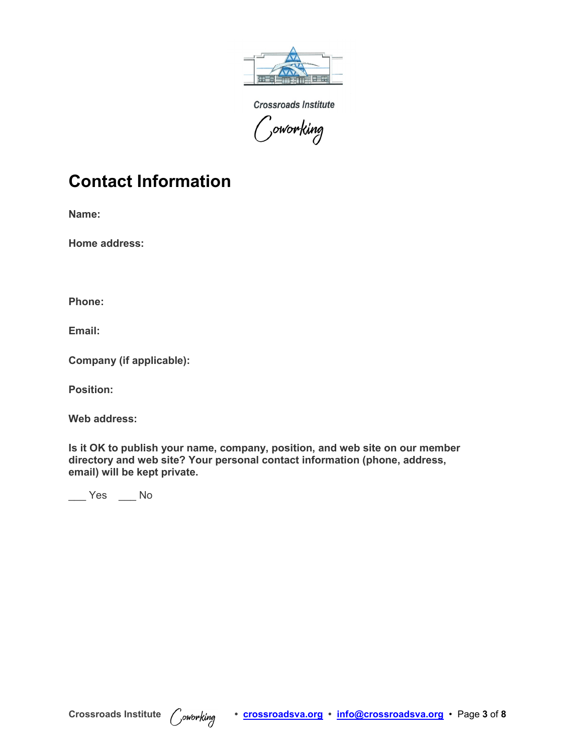

**Crossroads Institute**  $\mathcal{C}$ oworking

### **Contact Information**

**Name:**

**Home address:**

**Phone:**

**Email:**

**Company (if applicable):**

**Position:**

**Web address:**

**Is it OK to publish your name, company, position, and web site on our member directory and web site? Your personal contact information (phone, address, email) will be kept private.** 

 $\frac{1}{\sqrt{2}}$  Yes  $\frac{1}{\sqrt{2}}$  No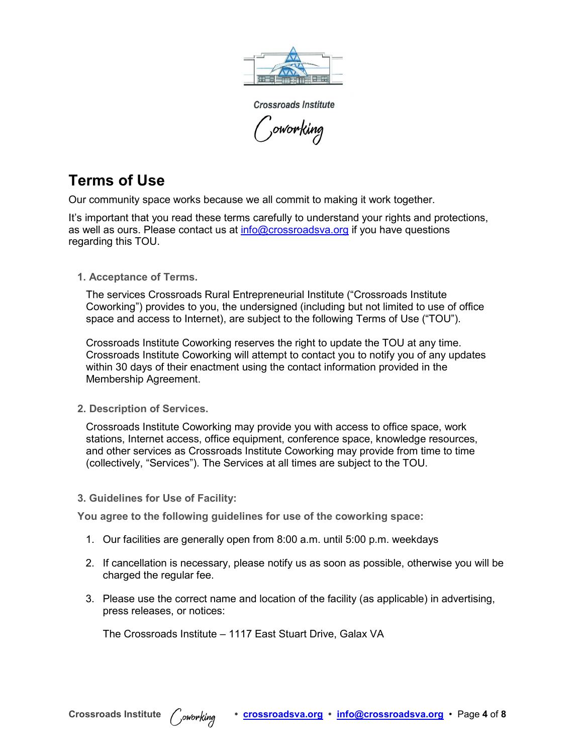

**Crossroads Institute** ,<sub>oworking</sub>

### **Terms of Use**

Our community space works because we all commit to making it work together.

It's important that you read these terms carefully to understand your rights and protections, as well as ours. Please contact us at [info@crossroadsva.org](mailto:info@nwc.co?subject=) if you have questions regarding this TOU.

**1. Acceptance of Terms.**

The services Crossroads Rural Entrepreneurial Institute ("Crossroads Institute Coworking") provides to you, the undersigned (including but not limited to use of office space and access to Internet), are subject to the following Terms of Use ("TOU").

Crossroads Institute Coworking reserves the right to update the TOU at any time. Crossroads Institute Coworking will attempt to contact you to notify you of any updates within 30 days of their enactment using the contact information provided in the Membership Agreement.

**2. Description of Services.**

Crossroads Institute Coworking may provide you with access to office space, work stations, Internet access, office equipment, conference space, knowledge resources, and other services as Crossroads Institute Coworking may provide from time to time (collectively, "Services"). The Services at all times are subject to the TOU.

**3. Guidelines for Use of Facility:**

**You agree to the following guidelines for use of the coworking space:**

- 1. Our facilities are generally open from 8:00 a.m. until 5:00 p.m. weekdays
- 2. If cancellation is necessary, please notify us as soon as possible, otherwise you will be charged the regular fee.
- 3. Please use the correct name and location of the facility (as applicable) in advertising, press releases, or notices:

The Crossroads Institute – 1117 East Stuart Drive, Galax VA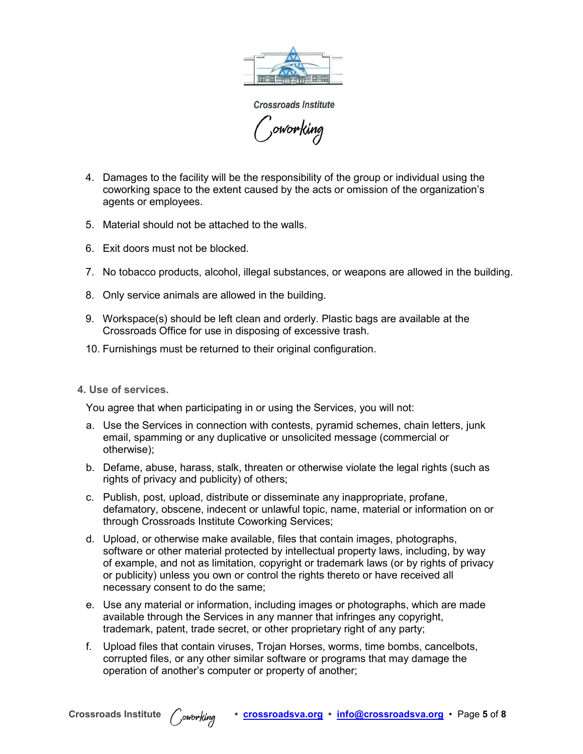

**Crossroads Institute** ',oworking

- 4. Damages to the facility will be the responsibility of the group or individual using the coworking space to the extent caused by the acts or omission of the organization's agents or employees.
- 5. Material should not be attached to the walls.
- 6. Exit doors must not be blocked.
- 7. No tobacco products, alcohol, illegal substances, or weapons are allowed in the building.
- 8. Only service animals are allowed in the building.
- 9. Workspace(s) should be left clean and orderly. Plastic bags are available at the Crossroads Office for use in disposing of excessive trash.
- 10. Furnishings must be returned to their original configuration.

#### **4. Use of services.**

You agree that when participating in or using the Services, you will not:

- a. Use the Services in connection with contests, pyramid schemes, chain letters, junk email, spamming or any duplicative or unsolicited message (commercial or otherwise);
- b. Defame, abuse, harass, stalk, threaten or otherwise violate the legal rights (such as rights of privacy and publicity) of others;
- c. Publish, post, upload, distribute or disseminate any inappropriate, profane, defamatory, obscene, indecent or unlawful topic, name, material or information on or through Crossroads Institute Coworking Services;
- d. Upload, or otherwise make available, files that contain images, photographs, software or other material protected by intellectual property laws, including, by way of example, and not as limitation, copyright or trademark laws (or by rights of privacy or publicity) unless you own or control the rights thereto or have received all necessary consent to do the same;
- e. Use any material or information, including images or photographs, which are made available through the Services in any manner that infringes any copyright, trademark, patent, trade secret, or other proprietary right of any party;
- f. Upload files that contain viruses, Trojan Horses, worms, time bombs, cancelbots, corrupted files, or any other similar software or programs that may damage the operation of another's computer or property of another;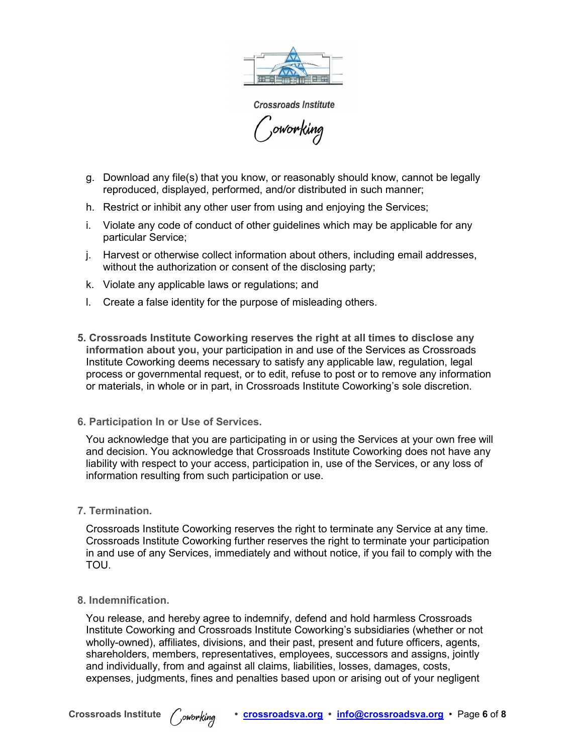

**Crossroads Institute** 'oworking

- g. Download any file(s) that you know, or reasonably should know, cannot be legally reproduced, displayed, performed, and/or distributed in such manner;
- h. Restrict or inhibit any other user from using and enjoying the Services;
- i. Violate any code of conduct of other guidelines which may be applicable for any particular Service;
- j. Harvest or otherwise collect information about others, including email addresses, without the authorization or consent of the disclosing party;
- k. Violate any applicable laws or regulations; and
- l. Create a false identity for the purpose of misleading others.
- **5. Crossroads Institute Coworking reserves the right at all times to disclose any information about you,** your participation in and use of the Services as Crossroads Institute Coworking deems necessary to satisfy any applicable law, regulation, legal process or governmental request, or to edit, refuse to post or to remove any information or materials, in whole or in part, in Crossroads Institute Coworking's sole discretion.
- **6. Participation In or Use of Services.**

You acknowledge that you are participating in or using the Services at your own free will and decision. You acknowledge that Crossroads Institute Coworking does not have any liability with respect to your access, participation in, use of the Services, or any loss of information resulting from such participation or use.

**7. Termination.**

Crossroads Institute Coworking reserves the right to terminate any Service at any time. Crossroads Institute Coworking further reserves the right to terminate your participation in and use of any Services, immediately and without notice, if you fail to comply with the TOU.

**8. Indemnification.**

You release, and hereby agree to indemnify, defend and hold harmless Crossroads Institute Coworking and Crossroads Institute Coworking's subsidiaries (whether or not wholly-owned), affiliates, divisions, and their past, present and future officers, agents, shareholders, members, representatives, employees, successors and assigns, jointly and individually, from and against all claims, liabilities, losses, damages, costs, expenses, judgments, fines and penalties based upon or arising out of your negligent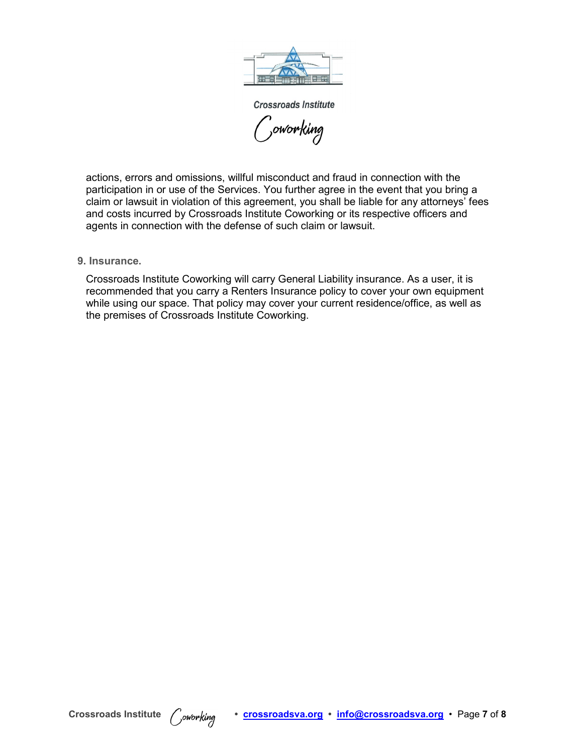

**Crossroads Institute** ',<br><sub>)</sub>oworking

actions, errors and omissions, willful misconduct and fraud in connection with the participation in or use of the Services. You further agree in the event that you bring a claim or lawsuit in violation of this agreement, you shall be liable for any attorneys' fees and costs incurred by Crossroads Institute Coworking or its respective officers and agents in connection with the defense of such claim or lawsuit.

#### **9. Insurance.**

Crossroads Institute Coworking will carry General Liability insurance. As a user, it is recommended that you carry a Renters Insurance policy to cover your own equipment while using our space. That policy may cover your current residence/office, as well as the premises of Crossroads Institute Coworking.